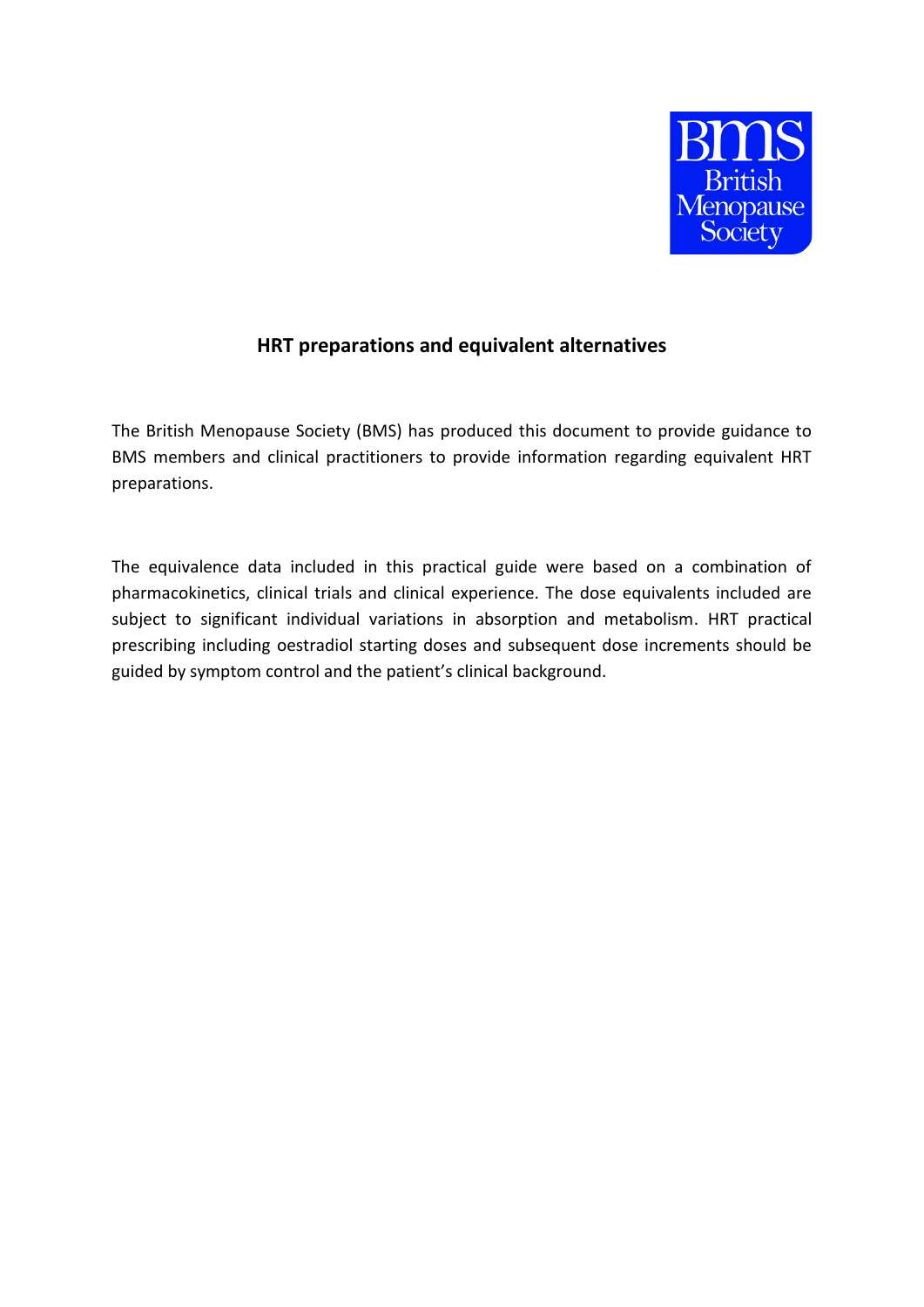

## **HRT preparations and equivalent alternatives**

The British Menopause Society (BMS) has produced this document to provide guidance to BMS members and clinical practitioners to provide information regarding equivalent HRT preparations.

The equivalence data included in this practical guide were based on a combination of pharmacokinetics, clinical trials and clinical experience. The dose equivalents included are subject to significant individual variations in absorption and metabolism. HRT practical prescribing including oestradiol starting doses and subsequent dose increments should be guided by symptom control and the patient's clinical background.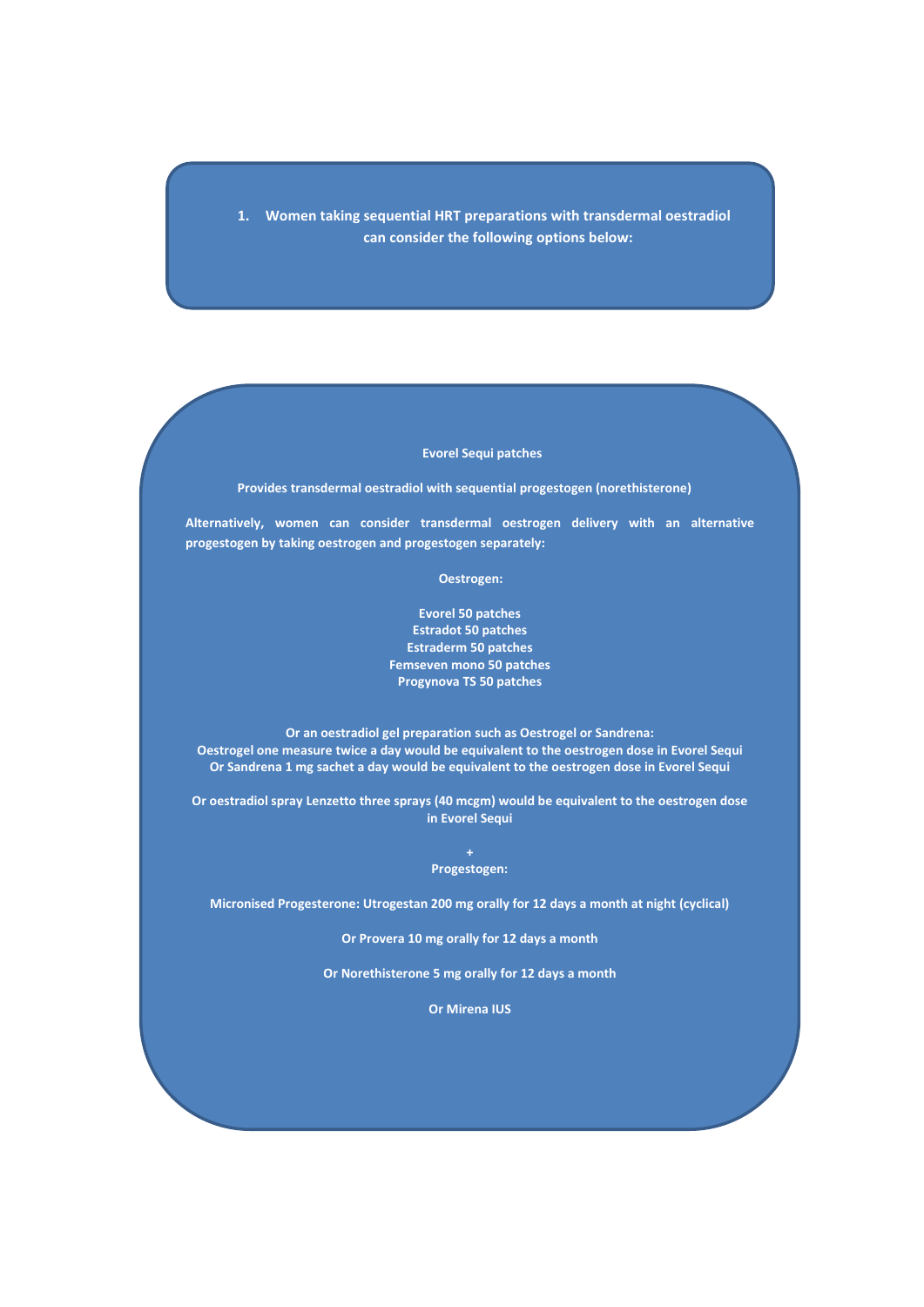**1. Women taking sequential HRT preparations with transdermal oestradiol can consider the following options below:**

## **Evorel Sequi patches**

**Provides transdermal oestradiol with sequential progestogen (norethisterone)** 

**Alternatively, women can consider transdermal oestrogen delivery with an alternative progestogen by taking oestrogen and progestogen separately:**

 **Oestrogen:**

**Evorel 50 patches Estradot 50 patches Estraderm 50 patches Femseven mono 50 patches Progynova TS 50 patches**

**Or an oestradiol gel preparation such as Oestrogel or Sandrena: Oestrogel one measure twice a day would be equivalent to the oestrogen dose in Evorel Sequi Or Sandrena 1 mg sachet a day would be equivalent to the oestrogen dose in Evorel Sequi**

**Or oestradiol spray Lenzetto three sprays (40 mcgm) would be equivalent to the oestrogen dose in Evorel Sequi**

> **+ Progestogen:**

**Micronised Progesterone: Utrogestan 200 mg orally for 12 days a month at night (cyclical)**

**Or Provera 10 mg orally for 12 days a month**

**Or Norethisterone 5 mg orally for 12 days a month**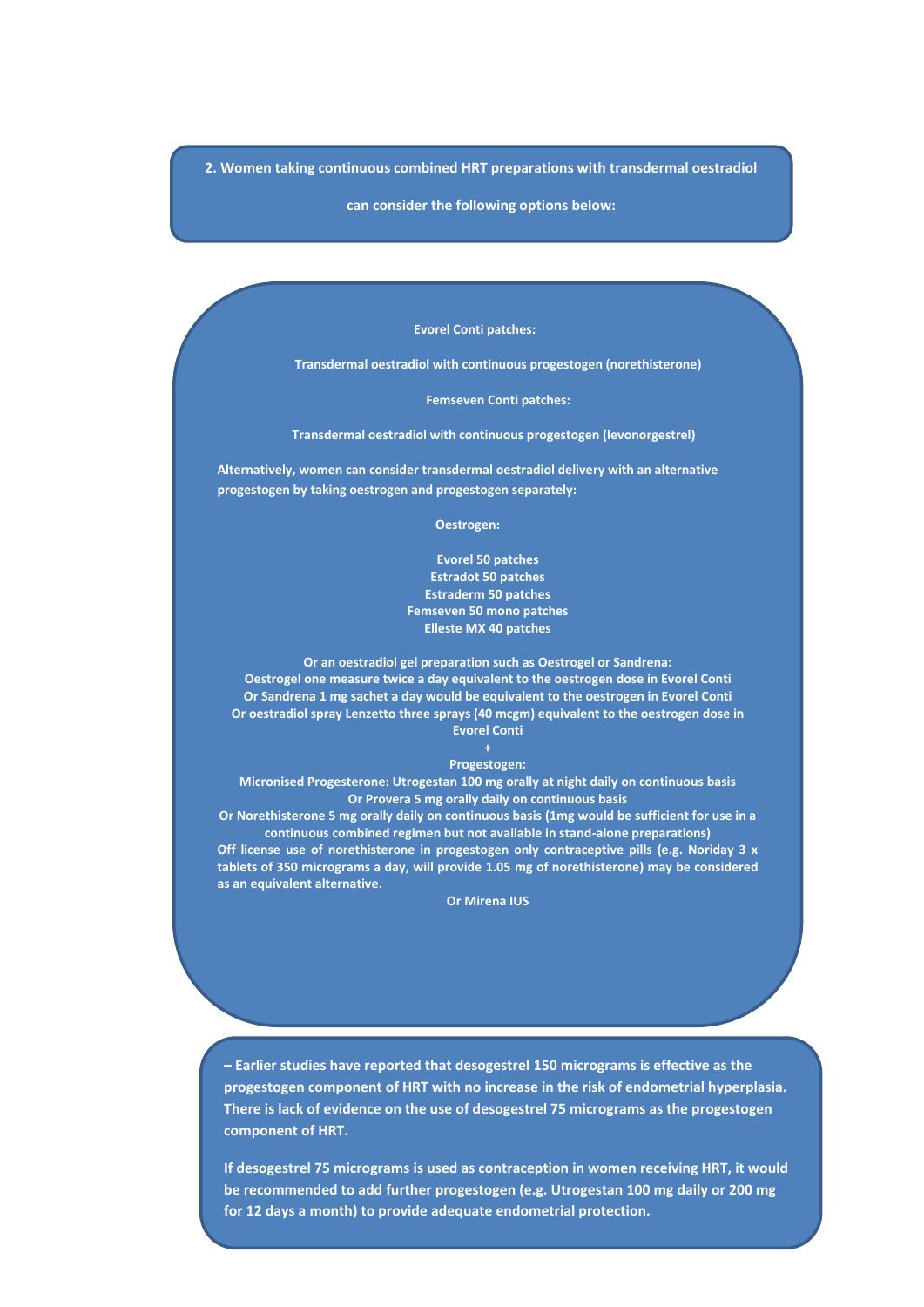**2. Women taking continuous combined HRT preparations with transdermal oestradiol** 

**can consider the following options below:**

 **Evorel Conti patches:**

**Transdermal oestradiol with continuous progestogen (norethisterone)**

**Femseven Conti patches:**

 **Transdermal oestradiol with continuous progestogen (levonorgestrel)**

**Alternatively, women can consider transdermal oestradiol delivery with an alternative progestogen by taking oestrogen and progestogen separately:**

 **Oestrogen:**

**Evorel 50 patches Estradot 50 patches Estraderm 50 patches Femseven 50 mono patches Elleste MX 40 patches** 

**Or an oestradiol gel preparation such as Oestrogel or Sandrena: Oestrogel one measure twice a day equivalent to the oestrogen dose in Evorel Conti Or Sandrena 1 mg sachet a day would be equivalent to the oestrogen in Evorel Conti Or oestradiol spray Lenzetto three sprays (40 mcgm) equivalent to the oestrogen dose in Evorel Conti**

**Progestogen:** 

**Micronised Progesterone: Utrogestan 100 mg orally at night daily on continuous basis Or Provera 5 mg orally daily on continuous basis**

**Or Norethisterone 5 mg orally daily on continuous basis (1mg would be sufficient for use in a continuous combined regimen but not available in stand-alone preparations) Off license use of norethisterone in progestogen only contraceptive pills (e.g. Noriday 3 x tablets of 350 micrograms a day, will provide 1.05 mg of norethisterone) may be considered as an equivalent alternative.**

**Or Mirena IUS**

**– Earlier studies have reported that desogestrel 150 micrograms is effective as the progestogen component of HRT with no increase in the risk of endometrial hyperplasia. There is lack of evidence on the use of desogestrel 75 micrograms as the progestogen component of HRT.** 

**If desogestrel 75 micrograms is used as contraception in women receiving HRT, it would be recommended to add further progestogen (e.g. Utrogestan 100 mg daily or 200 mg for 12 days a month) to provide adequate endometrial protection.**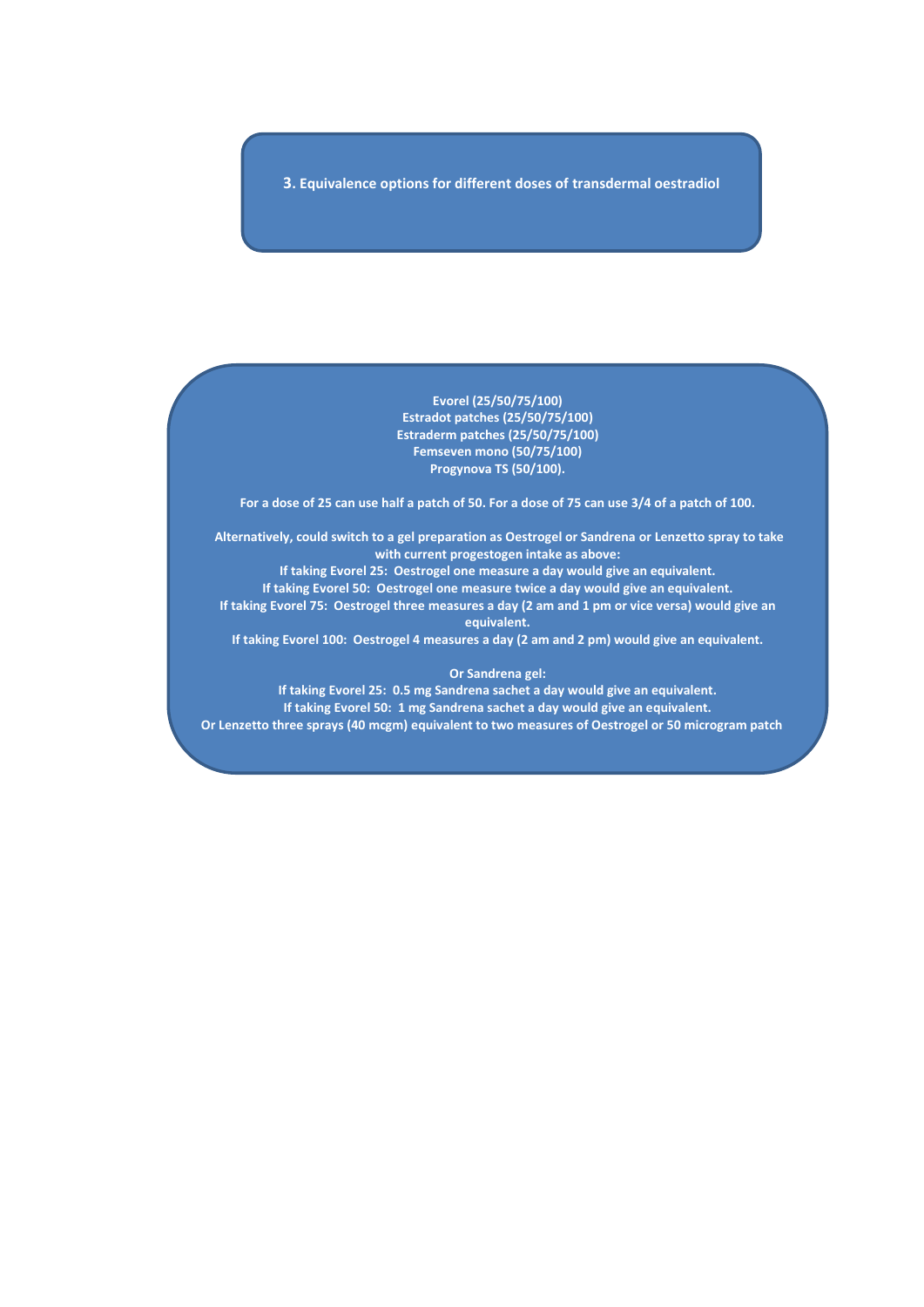**3. Equivalence options for different doses of transdermal oestradiol**

**Evorel (25/50/75/100) Estradot patches (25/50/75/100) Estraderm patches (25/50/75/100) Femseven mono (50/75/100) Progynova TS (50/100).** 

**For a dose of 25 can use half a patch of 50. For a dose of 75 can use 3/4 of a patch of 100.**

**Alternatively, could switch to a gel preparation as Oestrogel or Sandrena or Lenzetto spray to take with current progestogen intake as above:**

**If taking Evorel 25: Oestrogel one measure a day would give an equivalent. If taking Evorel 50: Oestrogel one measure twice a day would give an equivalent. If taking Evorel 75: Oestrogel three measures a day (2 am and 1 pm or vice versa) would give an equivalent.** 

**If taking Evorel 100: Oestrogel 4 measures a day (2 am and 2 pm) would give an equivalent.** 

## **Or Sandrena gel:**

**If taking Evorel 25: 0.5 mg Sandrena sachet a day would give an equivalent. If taking Evorel 50: 1 mg Sandrena sachet a day would give an equivalent. Or Lenzetto three sprays (40 mcgm) equivalent to two measures of Oestrogel or 50 microgram patch**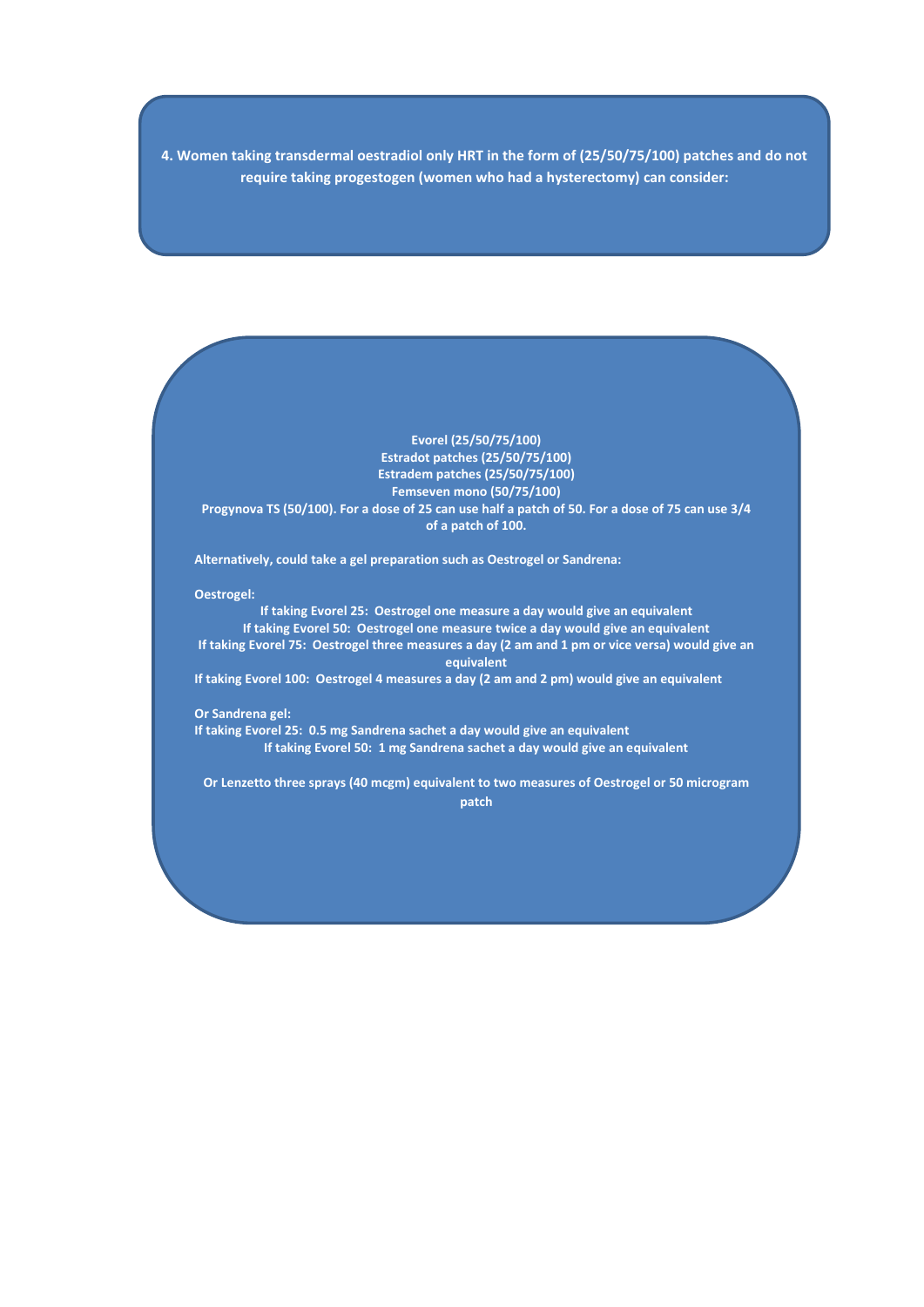**4. Women taking transdermal oestradiol only HRT in the form of (25/50/75/100) patches and do not require taking progestogen (women who had a hysterectomy) can consider:**

**Evorel (25/50/75/100) Estradot patches (25/50/75/100) Estradem patches (25/50/75/100) Femseven mono (50/75/100) Progynova TS (50/100). For a dose of 25 can use half a patch of 50. For a dose of 75 can use 3/4 of a patch of 100.**

**Alternatively, could take a gel preparation such as Oestrogel or Sandrena:**

**Oestrogel:**

**If taking Evorel 25: Oestrogel one measure a day would give an equivalent If taking Evorel 50: Oestrogel one measure twice a day would give an equivalent If taking Evorel 75: Oestrogel three measures a day (2 am and 1 pm or vice versa) would give an equivalent If taking Evorel 100: Oestrogel 4 measures a day (2 am and 2 pm) would give an equivalent** 

**Or Sandrena gel:**

**If taking Evorel 25: 0.5 mg Sandrena sachet a day would give an equivalent If taking Evorel 50: 1 mg Sandrena sachet a day would give an equivalent**

**Or Lenzetto three sprays (40 mcgm) equivalent to two measures of Oestrogel or 50 microgram patch**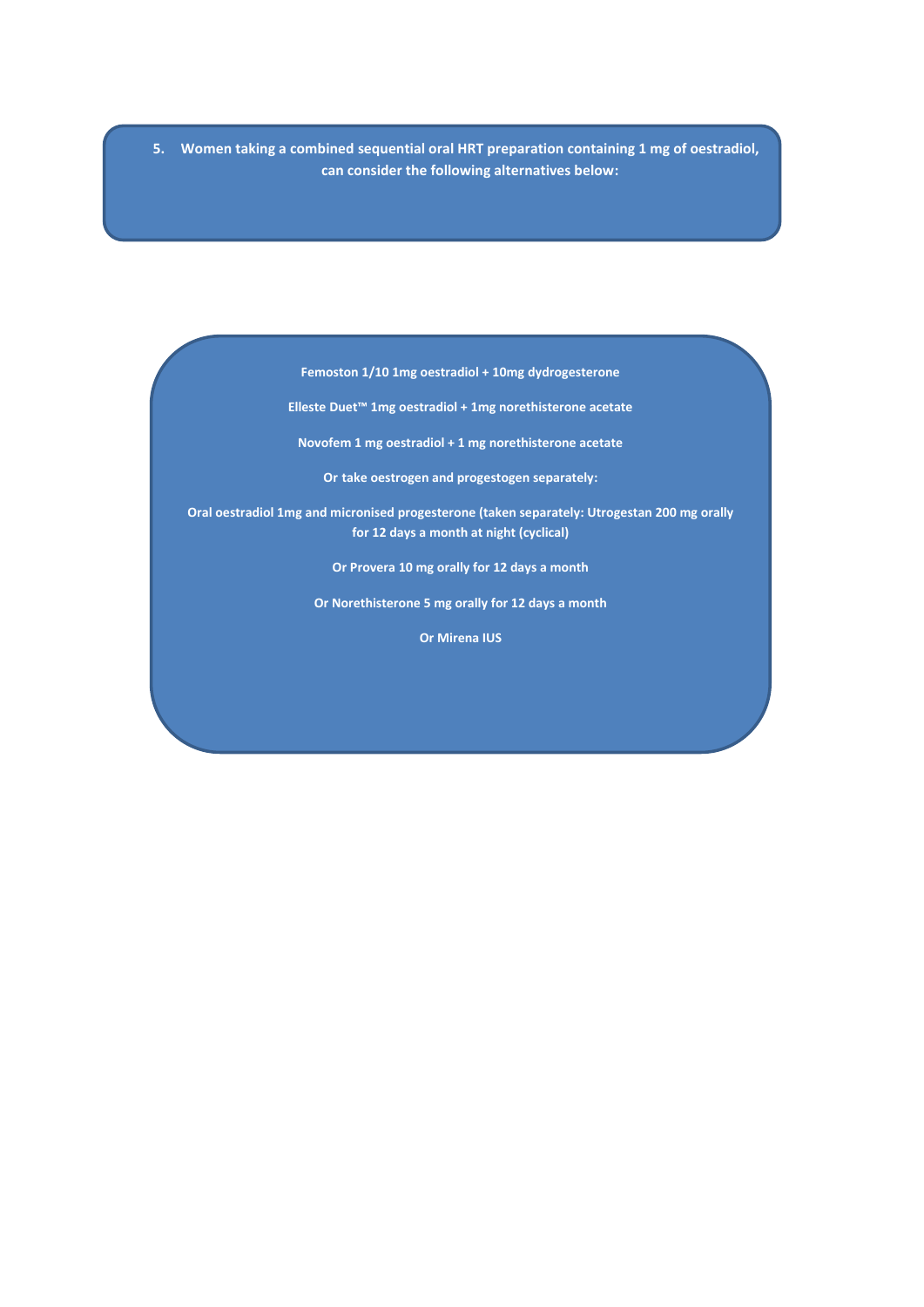**5. Women taking a combined sequential oral HRT preparation containing 1 mg of oestradiol, can consider the following alternatives below:**

**Femoston 1/10 1mg oestradiol + 10mg dydrogesterone**

**Elleste Duet™ 1mg oestradiol + 1mg norethisterone acetate**

**Novofem 1 mg oestradiol + 1 mg norethisterone acetate**

**Or take oestrogen and progestogen separately:**

**Oral oestradiol 1mg and micronised progesterone (taken separately: Utrogestan 200 mg orally for 12 days a month at night (cyclical)**

**Or Provera 10 mg orally for 12 days a month**

**Or Norethisterone 5 mg orally for 12 days a month**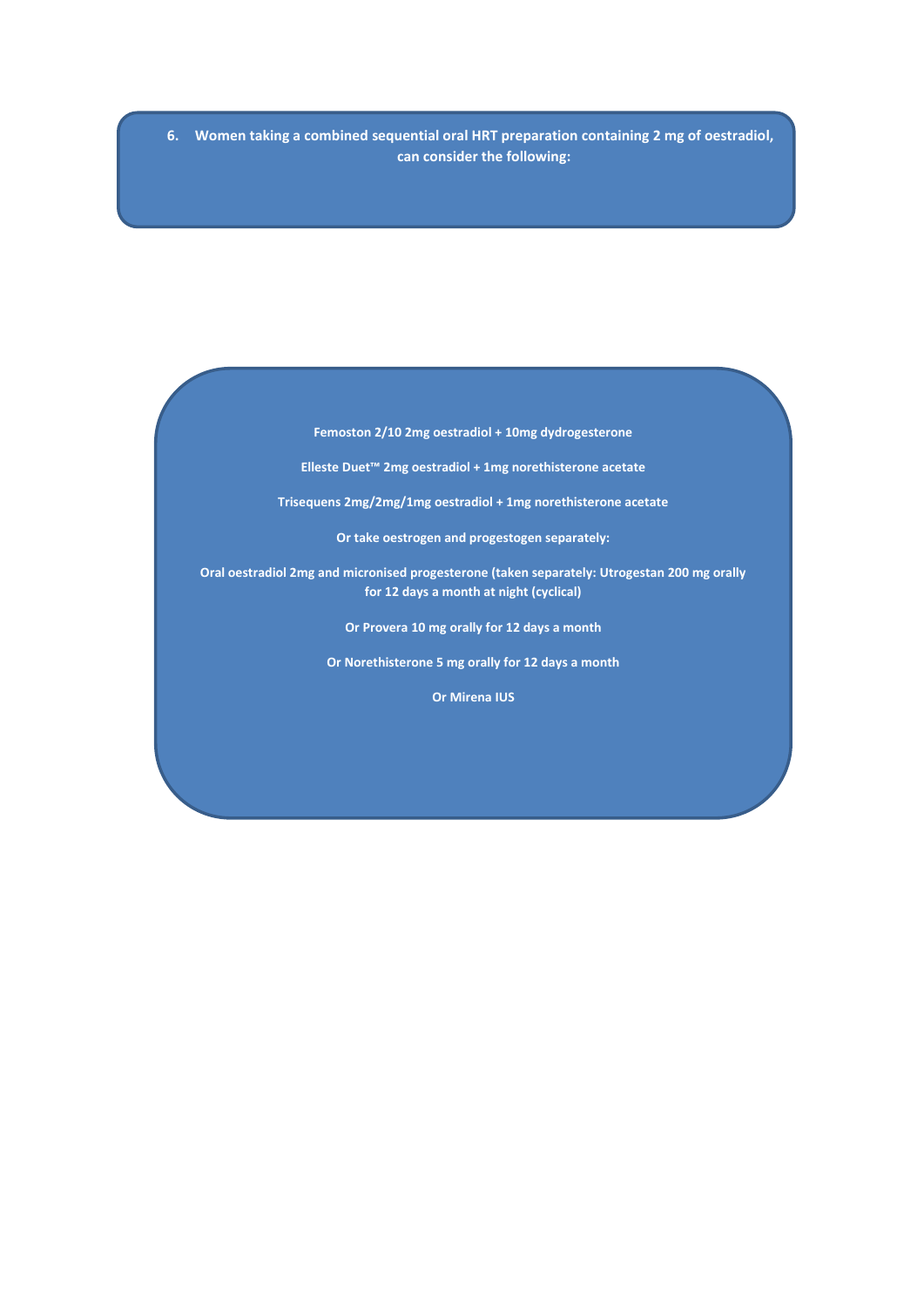**6. Women taking a combined sequential oral HRT preparation containing 2 mg of oestradiol, can consider the following:**

**Femoston 2/10 2mg oestradiol + 10mg dydrogesterone**

**Elleste Duet™ 2mg oestradiol + 1mg norethisterone acetate**

**Trisequens 2mg/2mg/1mg oestradiol + 1mg norethisterone acetate**

**Or take oestrogen and progestogen separately:**

**Oral oestradiol 2mg and micronised progesterone (taken separately: Utrogestan 200 mg orally for 12 days a month at night (cyclical)**

**Or Provera 10 mg orally for 12 days a month**

**Or Norethisterone 5 mg orally for 12 days a month**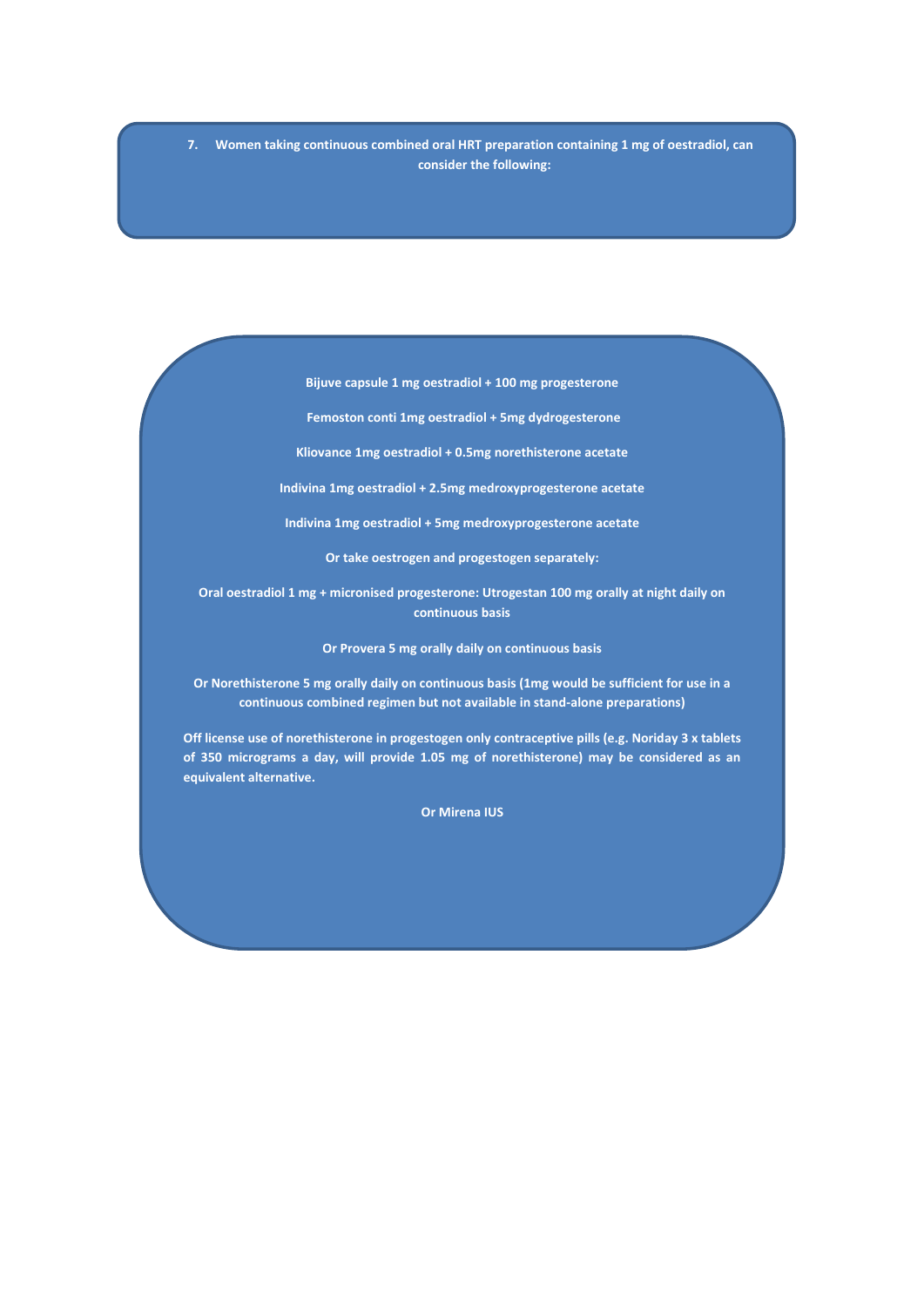**7. Women taking continuous combined oral HRT preparation containing 1 mg of oestradiol, can consider the following:**

**Bijuve capsule 1 mg oestradiol + 100 mg progesterone**

**Femoston conti 1mg oestradiol + 5mg dydrogesterone**

**Kliovance 1mg oestradiol + 0.5mg norethisterone acetate**

**Indivina 1mg oestradiol + 2.5mg medroxyprogesterone acetate** 

**Indivina 1mg oestradiol + 5mg medroxyprogesterone acetate**

**Or take oestrogen and progestogen separately:**

**Oral oestradiol 1 mg + micronised progesterone: Utrogestan 100 mg orally at night daily on continuous basis**

**Or Provera 5 mg orally daily on continuous basis**

**Or Norethisterone 5 mg orally daily on continuous basis (1mg would be sufficient for use in a continuous combined regimen but not available in stand-alone preparations)** 

**Off license use of norethisterone in progestogen only contraceptive pills (e.g. Noriday 3 x tablets of 350 micrograms a day, will provide 1.05 mg of norethisterone) may be considered as an equivalent alternative.**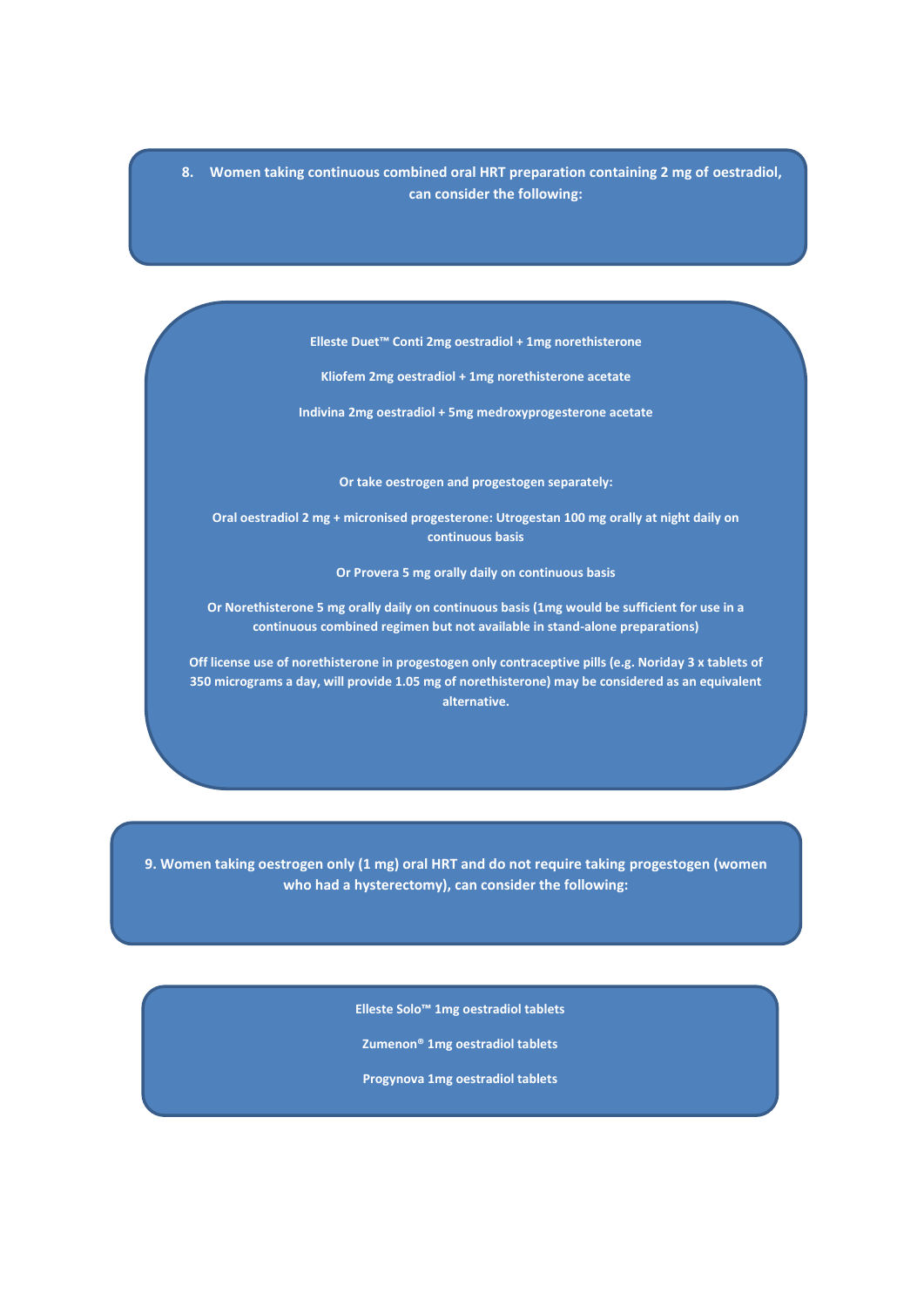**8. Women taking continuous combined oral HRT preparation containing 2 mg of oestradiol, can consider the following:**

**Elleste Duet™ Conti 2mg oestradiol + 1mg norethisterone**

**Kliofem 2mg oestradiol + 1mg norethisterone acetate**

**Indivina 2mg oestradiol + 5mg medroxyprogesterone acetate**

**Or take oestrogen and progestogen separately:**

**Oral oestradiol 2 mg + micronised progesterone: Utrogestan 100 mg orally at night daily on continuous basis**

**Or Provera 5 mg orally daily on continuous basis**

**Or Norethisterone 5 mg orally daily on continuous basis (1mg would be sufficient for use in a continuous combined regimen but not available in stand-alone preparations)** 

**Off license use of norethisterone in progestogen only contraceptive pills (e.g. Noriday 3 x tablets of 350 micrograms a day, will provide 1.05 mg of norethisterone) may be considered as an equivalent alternative.**

**9. Women taking oestrogen only (1 mg) oral HRT and do not require taking progestogen (women who had a hysterectomy), can consider the following:**

**Elleste Solo™ 1mg oestradiol tablets**

**Zumenon® 1mg oestradiol tablets**

**Progynova 1mg oestradiol tablets**